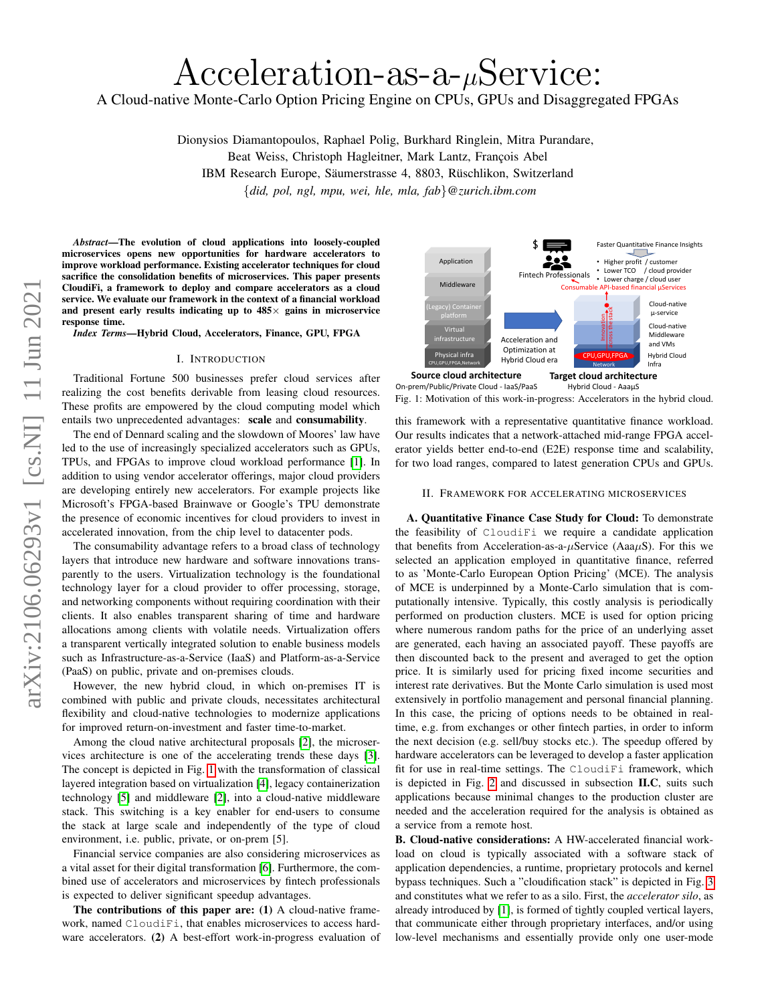# arXiv:2106.06293v1 [cs.NI] 11 Jun 2021 arXiv:2106.06293v1 [cs.NI] 11 Jun 2021

# Acceleration-as-a- $\mu$ Service:

A Cloud-native Monte-Carlo Option Pricing Engine on CPUs, GPUs and Disaggregated FPGAs

Dionysios Diamantopoulos, Raphael Polig, Burkhard Ringlein, Mitra Purandare, Beat Weiss, Christoph Hagleitner, Mark Lantz, François Abel IBM Research Europe, Säumerstrasse 4, 8803, Rüschlikon, Switzerland {*did, pol, ngl, mpu, wei, hle, mla, fab*}*@zurich.ibm.com*

*Abstract*—The evolution of cloud applications into loosely-coupled microservices opens new opportunities for hardware accelerators to improve workload performance. Existing accelerator techniques for cloud sacrifice the consolidation benefits of microservices. This paper presents CloudiFi, a framework to deploy and compare accelerators as a cloud service. We evaluate our framework in the context of a financial workload and present early results indicating up to  $485\times$  gains in microservice response time.

*Index Terms*—Hybrid Cloud, Accelerators, Finance, GPU, FPGA

### I. INTRODUCTION

Traditional Fortune 500 businesses prefer cloud services after realizing the cost benefits derivable from leasing cloud resources. These profits are empowered by the cloud computing model which entails two unprecedented advantages: scale and consumability.

The end of Dennard scaling and the slowdown of Moores' law have led to the use of increasingly specialized accelerators such as GPUs, TPUs, and FPGAs to improve cloud workload performance [\[1\]](#page-2-0). In addition to using vendor accelerator offerings, major cloud providers are developing entirely new accelerators. For example projects like Microsoft's FPGA-based Brainwave or Google's TPU demonstrate the presence of economic incentives for cloud providers to invest in accelerated innovation, from the chip level to datacenter pods.

The consumability advantage refers to a broad class of technology layers that introduce new hardware and software innovations transparently to the users. Virtualization technology is the foundational technology layer for a cloud provider to offer processing, storage, and networking components without requiring coordination with their clients. It also enables transparent sharing of time and hardware allocations among clients with volatile needs. Virtualization offers a transparent vertically integrated solution to enable business models such as Infrastructure-as-a-Service (IaaS) and Platform-as-a-Service (PaaS) on public, private and on-premises clouds.

However, the new hybrid cloud, in which on-premises IT is combined with public and private clouds, necessitates architectural flexibility and cloud-native technologies to modernize applications for improved return-on-investment and faster time-to-market.

Among the cloud native architectural proposals [\[2\]](#page-2-1), the microservices architecture is one of the accelerating trends these days [\[3\]](#page-2-2). The concept is depicted in Fig. [1](#page-0-0) with the transformation of classical layered integration based on virtualization [\[4\]](#page-2-3), legacy containerization technology [\[5\]](#page-2-4) and middleware [\[2\]](#page-2-1), into a cloud-native middleware stack. This switching is a key enabler for end-users to consume the stack at large scale and independently of the type of cloud environment, i.e. public, private, or on-prem [5].

Financial service companies are also considering microservices as a vital asset for their digital transformation [\[6\]](#page-2-5). Furthermore, the combined use of accelerators and microservices by fintech professionals is expected to deliver significant speedup advantages.

The contributions of this paper are: (1) A cloud-native framework, named CloudiFi, that enables microservices to access hardware accelerators. (2) A best-effort work-in-progress evaluation of

<span id="page-0-0"></span>

On-prem/Public/Private Cloud - IaaS/PaaS Hybrid Cloud - AaaμS Fig. 1: Motivation of this work-in-progress: Accelerators in the hybrid cloud.

this framework with a representative quantitative finance workload. Our results indicates that a network-attached mid-range FPGA accelerator yields better end-to-end (E2E) response time and scalability, for two load ranges, compared to latest generation CPUs and GPUs.

# II. FRAMEWORK FOR ACCELERATING MICROSERVICES

A. Quantitative Finance Case Study for Cloud: To demonstrate the feasibility of CloudiFi we require a candidate application that benefits from Acceleration-as-a- $\mu$ Service (Aaa $\mu$ S). For this we selected an application employed in quantitative finance, referred to as 'Monte-Carlo European Option Pricing' (MCE). The analysis of MCE is underpinned by a Monte-Carlo simulation that is computationally intensive. Typically, this costly analysis is periodically performed on production clusters. MCE is used for option pricing where numerous random paths for the price of an underlying asset are generated, each having an associated payoff. These payoffs are then discounted back to the present and averaged to get the option price. It is similarly used for pricing fixed income securities and interest rate derivatives. But the Monte Carlo simulation is used most extensively in portfolio management and personal financial planning. In this case, the pricing of options needs to be obtained in realtime, e.g. from exchanges or other fintech parties, in order to inform the next decision (e.g. sell/buy stocks etc.). The speedup offered by hardware accelerators can be leveraged to develop a faster application fit for use in real-time settings. The CloudiFi framework, which is depicted in Fig. [2](#page-1-0) and discussed in subsection II.C, suits such applications because minimal changes to the production cluster are needed and the acceleration required for the analysis is obtained as a service from a remote host.

B. Cloud-native considerations: A HW-accelerated financial workload on cloud is typically associated with a software stack of application dependencies, a runtime, proprietary protocols and kernel bypass techniques. Such a "cloudification stack" is depicted in Fig. [3](#page-1-1) and constitutes what we refer to as a silo. First, the *accelerator silo*, as already introduced by [\[1\]](#page-2-0), is formed of tightly coupled vertical layers, that communicate either through proprietary interfaces, and/or using low-level mechanisms and essentially provide only one user-mode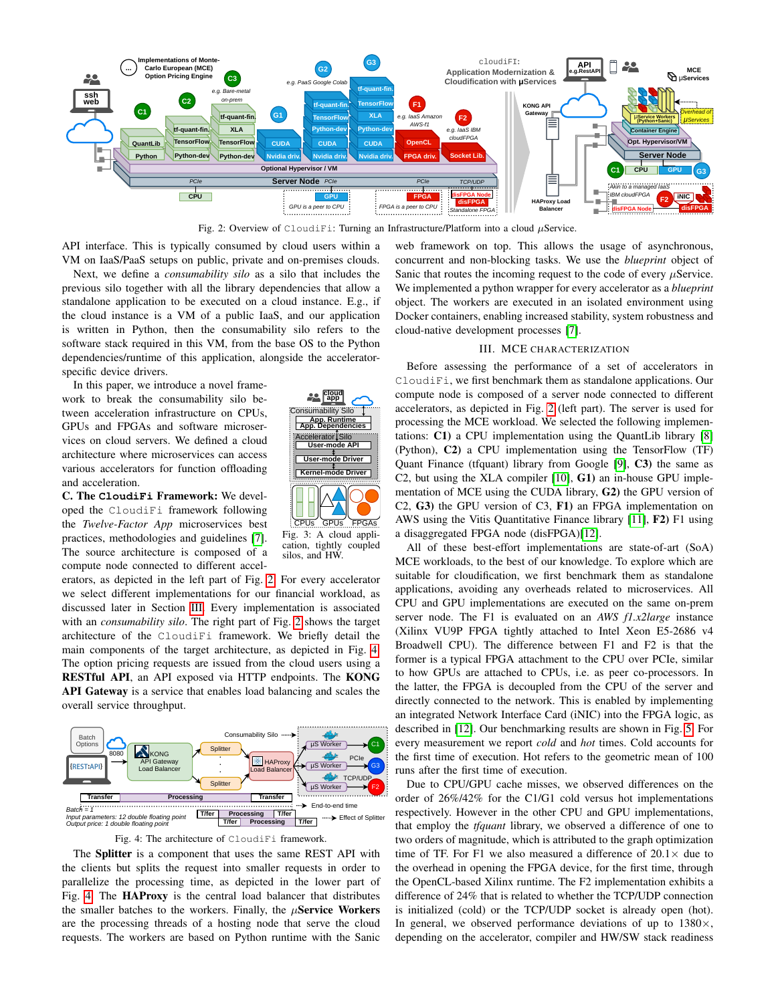<span id="page-1-0"></span>



API interface. This is typically consumed by cloud users within a VM on IaaS/PaaS setups on public, private and on-premises clouds.

Next, we define a *consumability silo* as a silo that includes the previous silo together with all the library dependencies that allow a standalone application to be executed on a cloud instance. E.g., if the cloud instance is a VM of a public IaaS, and our application is written in Python, then the consumability silo refers to the software stack required in this VM, from the base OS to the Python dependencies/runtime of this application, alongside the acceleratorspecific device drivers.

In this paper, we introduce a novel framework to break the consumability silo between acceleration infrastructure on CPUs, GPUs and FPGAs and software microservices on cloud servers. We defined a cloud architecture where microservices can access various accelerators for function offloading and acceleration.

C. The **CloudiFi** Framework: We developed the CloudiFi framework following the *Twelve-Factor App* microservices best practices, methodologies and guidelines [\[7\]](#page-2-6). The source architecture is composed of a compute node connected to different accel-

erators, as depicted in the left part of Fig. [2.](#page-1-0) For every accelerator we select different implementations for our financial workload, as discussed later in Section [III.](#page-1-2) Every implementation is associated with an *consumability silo*. The right part of Fig. [2](#page-1-0) shows the target architecture of the CloudiFi framework. We briefly detail the main components of the target architecture, as depicted in Fig. [4.](#page-1-3) The option pricing requests are issued from the cloud users using a RESTful API, an API exposed via HTTP endpoints. The KONG API Gateway is a service that enables load balancing and scales the overall service throughput.

<span id="page-1-3"></span>

Fig. 4: The architecture of CloudiFi framework.

The Splitter is a component that uses the same REST API with the clients but splits the request into smaller requests in order to parallelize the processing time, as depicted in the lower part of Fig. [4.](#page-1-3) The HAProxy is the central load balancer that distributes the smaller batches to the workers. Finally, the  $\mu$ **Service Workers** are the processing threads of a hosting node that serve the cloud requests. The workers are based on Python runtime with the Sanic

concurrent and non-blocking tasks. We use the *blueprint* object of Sanic that routes the incoming request to the code of every  $\mu$ Service. We implemented a python wrapper for every accelerator as a *blueprint* object. The workers are executed in an isolated environment using Docker containers, enabling increased stability, system robustness and cloud-native development processes [\[7\]](#page-2-6).

web framework on top. This allows the usage of asynchronous,

# III. MCE CHARACTERIZATION

<span id="page-1-2"></span>Before assessing the performance of a set of accelerators in CloudiFi, we first benchmark them as standalone applications. Our compute node is composed of a server node connected to different accelerators, as depicted in Fig. [2](#page-1-0) (left part). The server is used for processing the MCE workload. We selected the following implementations: C1) a CPU implementation using the QuantLib library [\[8\]](#page-2-7) (Python), C2) a CPU implementation using the TensorFlow (TF) Quant Finance (tfquant) library from Google [\[9\]](#page-2-8), C3) the same as C2, but using the XLA compiler [\[10\]](#page-2-9), G1) an in-house GPU implementation of MCE using the CUDA library, G2) the GPU version of C2, G3) the GPU version of C3, F1) an FPGA implementation on AWS using the Vitis Quantitative Finance library [\[11\]](#page-2-10), F2) F1 using a disaggregated FPGA node (disFPGA)[\[12\]](#page-2-11).

All of these best-effort implementations are state-of-art (SoA) MCE workloads, to the best of our knowledge. To explore which are suitable for cloudification, we first benchmark them as standalone applications, avoiding any overheads related to microservices. All CPU and GPU implementations are executed on the same on-prem server node. The F1 is evaluated on an *AWS f1.x2large* instance (Xilinx VU9P FPGA tightly attached to Intel Xeon E5-2686 v4 Broadwell CPU). The difference between F1 and F2 is that the former is a typical FPGA attachment to the CPU over PCIe, similar to how GPUs are attached to CPUs, i.e. as peer co-processors. In the latter, the FPGA is decoupled from the CPU of the server and directly connected to the network. This is enabled by implementing an integrated Network Interface Card (iNIC) into the FPGA logic, as described in [\[12\]](#page-2-11). Our benchmarking results are shown in Fig. [5.](#page-2-12) For every measurement we report *cold* and *hot* times. Cold accounts for the first time of execution. Hot refers to the geometric mean of 100 runs after the first time of execution.

Due to CPU/GPU cache misses, we observed differences on the order of 26%/42% for the C1/G1 cold versus hot implementations respectively. However in the other CPU and GPU implementations, that employ the *tfquant* library, we observed a difference of one to two orders of magnitude, which is attributed to the graph optimization time of TF. For F1 we also measured a difference of  $20.1 \times$  due to the overhead in opening the FPGA device, for the first time, through the OpenCL-based Xilinx runtime. The F2 implementation exhibits a difference of 24% that is related to whether the TCP/UDP connection is initialized (cold) or the TCP/UDP socket is already open (hot). In general, we observed performance deviations of up to  $1380\times$ , depending on the accelerator, compiler and HW/SW stack readiness

<span id="page-1-1"></span>

cation, tightly coupled silos, and HW.